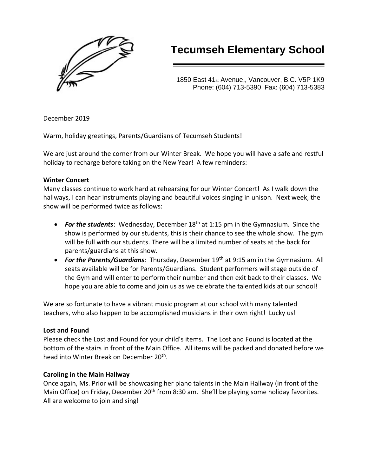

# **Tecumseh Elementary School**

1850 East 41st Avenue,, Vancouver, B.C. V5P 1K9 Phone: (604) 713-5390 Fax: (604) 713-5383

December 2019

Warm, holiday greetings, Parents/Guardians of Tecumseh Students!

We are just around the corner from our Winter Break. We hope you will have a safe and restful holiday to recharge before taking on the New Year! A few reminders:

#### **Winter Concert**

Many classes continue to work hard at rehearsing for our Winter Concert! As I walk down the hallways, I can hear instruments playing and beautiful voices singing in unison. Next week, the show will be performed twice as follows:

- **For the students**: Wednesday, December 18<sup>th</sup> at 1:15 pm in the Gymnasium. Since the show is performed by our students, this is their chance to see the whole show. The gym will be full with our students. There will be a limited number of seats at the back for parents/guardians at this show.
- *For the Parents/Guardians*: Thursday, December 19<sup>th</sup> at 9:15 am in the Gymnasium. All seats available will be for Parents/Guardians. Student performers will stage outside of the Gym and will enter to perform their number and then exit back to their classes. We hope you are able to come and join us as we celebrate the talented kids at our school!

We are so fortunate to have a vibrant music program at our school with many talented teachers, who also happen to be accomplished musicians in their own right! Lucky us!

## **Lost and Found**

Please check the Lost and Found for your child's items. The Lost and Found is located at the bottom of the stairs in front of the Main Office. All items will be packed and donated before we head into Winter Break on December 20<sup>th</sup>.

## **Caroling in the Main Hallway**

Once again, Ms. Prior will be showcasing her piano talents in the Main Hallway (in front of the Main Office) on Friday, December 20<sup>th</sup> from 8:30 am. She'll be playing some holiday favorites. All are welcome to join and sing!